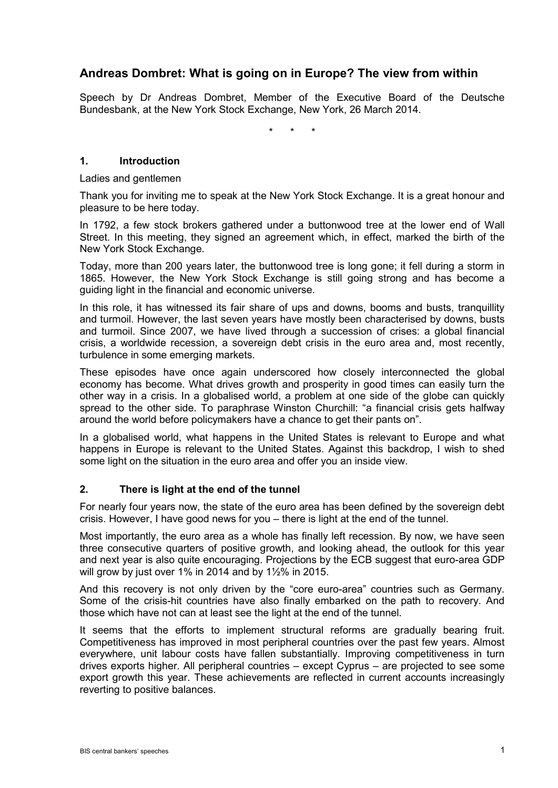# **Andreas Dombret: What is going on in Europe? The view from within**

Speech by Dr Andreas Dombret, Member of the Executive Board of the Deutsche Bundesbank, at the New York Stock Exchange, New York, 26 March 2014.

\* \* \*

## **1. Introduction**

Ladies and gentlemen

Thank you for inviting me to speak at the New York Stock Exchange. It is a great honour and pleasure to be here today.

In 1792, a few stock brokers gathered under a buttonwood tree at the lower end of Wall Street. In this meeting, they signed an agreement which, in effect, marked the birth of the New York Stock Exchange.

Today, more than 200 years later, the buttonwood tree is long gone; it fell during a storm in 1865. However, the New York Stock Exchange is still going strong and has become a guiding light in the financial and economic universe.

In this role, it has witnessed its fair share of ups and downs, booms and busts, tranquillity and turmoil. However, the last seven years have mostly been characterised by downs, busts and turmoil. Since 2007, we have lived through a succession of crises: a global financial crisis, a worldwide recession, a sovereign debt crisis in the euro area and, most recently, turbulence in some emerging markets.

These episodes have once again underscored how closely interconnected the global economy has become. What drives growth and prosperity in good times can easily turn the other way in a crisis. In a globalised world, a problem at one side of the globe can quickly spread to the other side. To paraphrase Winston Churchill: "a financial crisis gets halfway around the world before policymakers have a chance to get their pants on".

In a globalised world, what happens in the United States is relevant to Europe and what happens in Europe is relevant to the United States. Against this backdrop, I wish to shed some light on the situation in the euro area and offer you an inside view.

## **2. There is light at the end of the tunnel**

For nearly four years now, the state of the euro area has been defined by the sovereign debt crisis. However, I have good news for you – there is light at the end of the tunnel.

Most importantly, the euro area as a whole has finally left recession. By now, we have seen three consecutive quarters of positive growth, and looking ahead, the outlook for this year and next year is also quite encouraging. Projections by the ECB suggest that euro-area GDP will grow by just over 1% in 2014 and by 1½% in 2015.

And this recovery is not only driven by the "core euro-area" countries such as Germany. Some of the crisis-hit countries have also finally embarked on the path to recovery. And those which have not can at least see the light at the end of the tunnel.

It seems that the efforts to implement structural reforms are gradually bearing fruit. Competitiveness has improved in most peripheral countries over the past few years. Almost everywhere, unit labour costs have fallen substantially. Improving competitiveness in turn drives exports higher. All peripheral countries – except Cyprus – are projected to see some export growth this year. These achievements are reflected in current accounts increasingly reverting to positive balances.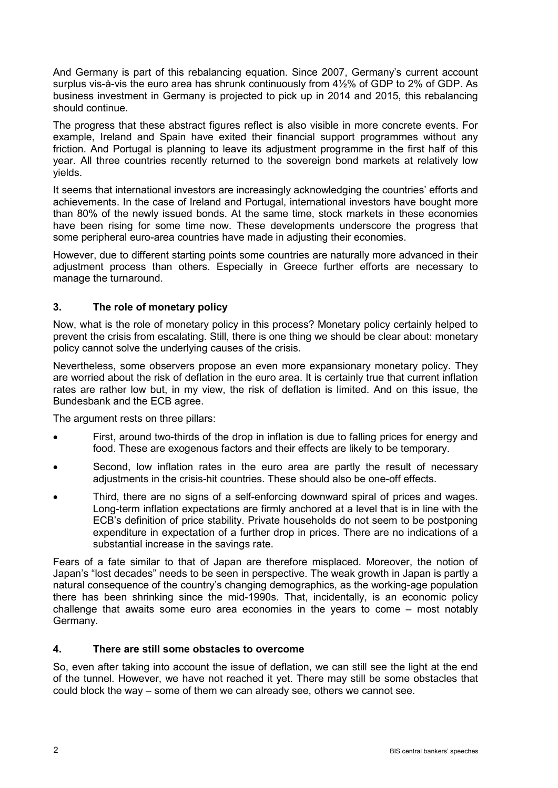And Germany is part of this rebalancing equation. Since 2007, Germany's current account surplus vis-à-vis the euro area has shrunk continuously from 4½% of GDP to 2% of GDP. As business investment in Germany is projected to pick up in 2014 and 2015, this rebalancing should continue.

The progress that these abstract figures reflect is also visible in more concrete events. For example, Ireland and Spain have exited their financial support programmes without any friction. And Portugal is planning to leave its adjustment programme in the first half of this year. All three countries recently returned to the sovereign bond markets at relatively low yields.

It seems that international investors are increasingly acknowledging the countries' efforts and achievements. In the case of Ireland and Portugal, international investors have bought more than 80% of the newly issued bonds. At the same time, stock markets in these economies have been rising for some time now. These developments underscore the progress that some peripheral euro-area countries have made in adjusting their economies.

However, due to different starting points some countries are naturally more advanced in their adjustment process than others. Especially in Greece further efforts are necessary to manage the turnaround.

# **3. The role of monetary policy**

Now, what is the role of monetary policy in this process? Monetary policy certainly helped to prevent the crisis from escalating. Still, there is one thing we should be clear about: monetary policy cannot solve the underlying causes of the crisis.

Nevertheless, some observers propose an even more expansionary monetary policy. They are worried about the risk of deflation in the euro area. It is certainly true that current inflation rates are rather low but, in my view, the risk of deflation is limited. And on this issue, the Bundesbank and the ECB agree.

The argument rests on three pillars:

- First, around two-thirds of the drop in inflation is due to falling prices for energy and food. These are exogenous factors and their effects are likely to be temporary.
- Second, low inflation rates in the euro area are partly the result of necessary adjustments in the crisis-hit countries. These should also be one-off effects.
- Third, there are no signs of a self-enforcing downward spiral of prices and wages. Long-term inflation expectations are firmly anchored at a level that is in line with the ECB's definition of price stability. Private households do not seem to be postponing expenditure in expectation of a further drop in prices. There are no indications of a substantial increase in the savings rate.

Fears of a fate similar to that of Japan are therefore misplaced. Moreover, the notion of Japan's "lost decades" needs to be seen in perspective. The weak growth in Japan is partly a natural consequence of the country's changing demographics, as the working-age population there has been shrinking since the mid-1990s. That, incidentally, is an economic policy challenge that awaits some euro area economies in the years to come – most notably Germany.

#### **4. There are still some obstacles to overcome**

So, even after taking into account the issue of deflation, we can still see the light at the end of the tunnel. However, we have not reached it yet. There may still be some obstacles that could block the way – some of them we can already see, others we cannot see.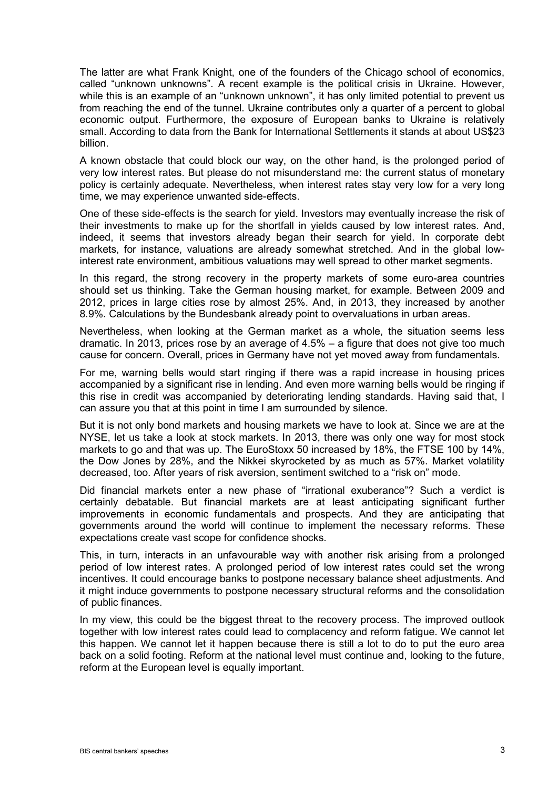The latter are what Frank Knight, one of the founders of the Chicago school of economics, called "unknown unknowns". A recent example is the political crisis in Ukraine. However, while this is an example of an "unknown unknown", it has only limited potential to prevent us from reaching the end of the tunnel. Ukraine contributes only a quarter of a percent to global economic output. Furthermore, the exposure of European banks to Ukraine is relatively small. According to data from the Bank for International Settlements it stands at about US\$23 billion.

A known obstacle that could block our way, on the other hand, is the prolonged period of very low interest rates. But please do not misunderstand me: the current status of monetary policy is certainly adequate. Nevertheless, when interest rates stay very low for a very long time, we may experience unwanted side-effects.

One of these side-effects is the search for yield. Investors may eventually increase the risk of their investments to make up for the shortfall in yields caused by low interest rates. And, indeed, it seems that investors already began their search for yield. In corporate debt markets, for instance, valuations are already somewhat stretched. And in the global lowinterest rate environment, ambitious valuations may well spread to other market segments.

In this regard, the strong recovery in the property markets of some euro-area countries should set us thinking. Take the German housing market, for example. Between 2009 and 2012, prices in large cities rose by almost 25%. And, in 2013, they increased by another 8.9%. Calculations by the Bundesbank already point to overvaluations in urban areas.

Nevertheless, when looking at the German market as a whole, the situation seems less dramatic. In 2013, prices rose by an average of 4.5% – a figure that does not give too much cause for concern. Overall, prices in Germany have not yet moved away from fundamentals.

For me, warning bells would start ringing if there was a rapid increase in housing prices accompanied by a significant rise in lending. And even more warning bells would be ringing if this rise in credit was accompanied by deteriorating lending standards. Having said that, I can assure you that at this point in time I am surrounded by silence.

But it is not only bond markets and housing markets we have to look at. Since we are at the NYSE, let us take a look at stock markets. In 2013, there was only one way for most stock markets to go and that was up. The EuroStoxx 50 increased by 18%, the FTSE 100 by 14%, the Dow Jones by 28%, and the Nikkei skyrocketed by as much as 57%. Market volatility decreased, too. After years of risk aversion, sentiment switched to a "risk on" mode.

Did financial markets enter a new phase of "irrational exuberance"? Such a verdict is certainly debatable. But financial markets are at least anticipating significant further improvements in economic fundamentals and prospects. And they are anticipating that governments around the world will continue to implement the necessary reforms. These expectations create vast scope for confidence shocks.

This, in turn, interacts in an unfavourable way with another risk arising from a prolonged period of low interest rates. A prolonged period of low interest rates could set the wrong incentives. It could encourage banks to postpone necessary balance sheet adjustments. And it might induce governments to postpone necessary structural reforms and the consolidation of public finances.

In my view, this could be the biggest threat to the recovery process. The improved outlook together with low interest rates could lead to complacency and reform fatigue. We cannot let this happen. We cannot let it happen because there is still a lot to do to put the euro area back on a solid footing. Reform at the national level must continue and, looking to the future, reform at the European level is equally important.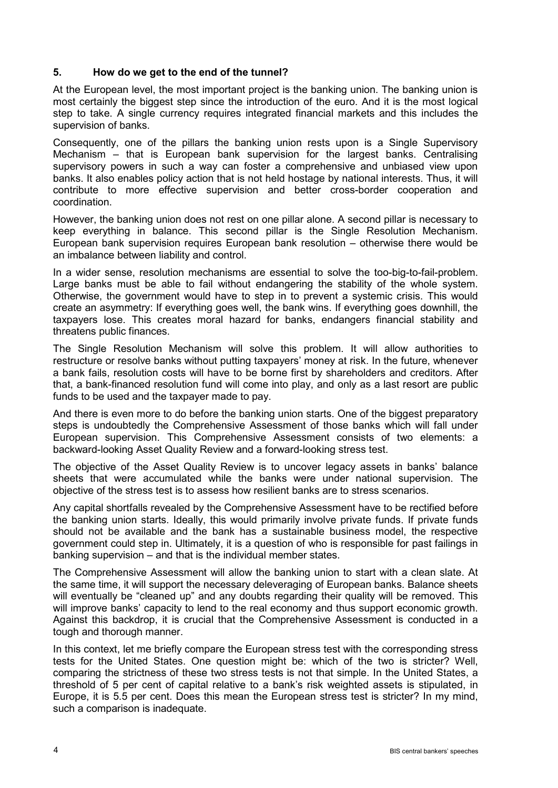## **5. How do we get to the end of the tunnel?**

At the European level, the most important project is the banking union. The banking union is most certainly the biggest step since the introduction of the euro. And it is the most logical step to take. A single currency requires integrated financial markets and this includes the supervision of banks.

Consequently, one of the pillars the banking union rests upon is a Single Supervisory Mechanism – that is European bank supervision for the largest banks. Centralising supervisory powers in such a way can foster a comprehensive and unbiased view upon banks. It also enables policy action that is not held hostage by national interests. Thus, it will contribute to more effective supervision and better cross-border cooperation and coordination.

However, the banking union does not rest on one pillar alone. A second pillar is necessary to keep everything in balance. This second pillar is the Single Resolution Mechanism. European bank supervision requires European bank resolution – otherwise there would be an imbalance between liability and control.

In a wider sense, resolution mechanisms are essential to solve the too-big-to-fail-problem. Large banks must be able to fail without endangering the stability of the whole system. Otherwise, the government would have to step in to prevent a systemic crisis. This would create an asymmetry: If everything goes well, the bank wins. If everything goes downhill, the taxpayers lose. This creates moral hazard for banks, endangers financial stability and threatens public finances.

The Single Resolution Mechanism will solve this problem. It will allow authorities to restructure or resolve banks without putting taxpayers' money at risk. In the future, whenever a bank fails, resolution costs will have to be borne first by shareholders and creditors. After that, a bank-financed resolution fund will come into play, and only as a last resort are public funds to be used and the taxpayer made to pay.

And there is even more to do before the banking union starts. One of the biggest preparatory steps is undoubtedly the Comprehensive Assessment of those banks which will fall under European supervision. This Comprehensive Assessment consists of two elements: a backward-looking Asset Quality Review and a forward-looking stress test.

The objective of the Asset Quality Review is to uncover legacy assets in banks' balance sheets that were accumulated while the banks were under national supervision. The objective of the stress test is to assess how resilient banks are to stress scenarios.

Any capital shortfalls revealed by the Comprehensive Assessment have to be rectified before the banking union starts. Ideally, this would primarily involve private funds. If private funds should not be available and the bank has a sustainable business model, the respective government could step in. Ultimately, it is a question of who is responsible for past failings in banking supervision – and that is the individual member states.

The Comprehensive Assessment will allow the banking union to start with a clean slate. At the same time, it will support the necessary deleveraging of European banks. Balance sheets will eventually be "cleaned up" and any doubts regarding their quality will be removed. This will improve banks' capacity to lend to the real economy and thus support economic growth. Against this backdrop, it is crucial that the Comprehensive Assessment is conducted in a tough and thorough manner.

In this context, let me briefly compare the European stress test with the corresponding stress tests for the United States. One question might be: which of the two is stricter? Well, comparing the strictness of these two stress tests is not that simple. In the United States, a threshold of 5 per cent of capital relative to a bank's risk weighted assets is stipulated, in Europe, it is 5.5 per cent. Does this mean the European stress test is stricter? In my mind, such a comparison is inadequate.